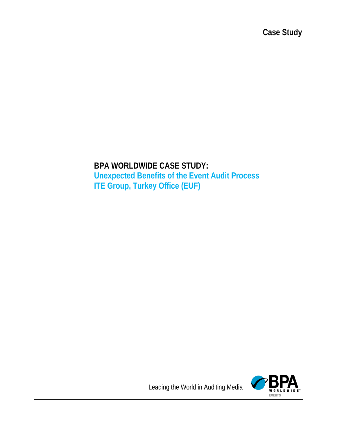**Case Study**

# **BPA WORLDWIDE CASE STUDY: Unexpected Benefits of the Event Audit Process ITE Group, Turkey Office (EUF)**



Leading the World in Auditing Media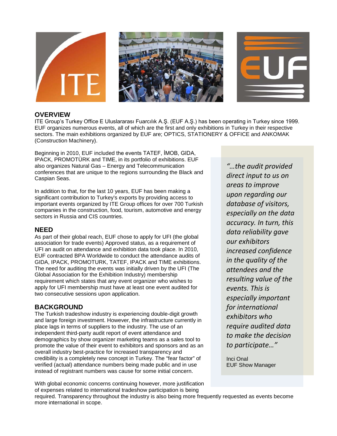

### **OVERVIEW**

ITE Group's Turkey Office E Uluslararası Fuarcılık A.Ş. (EUF A.Ş.) has been operating in Turkey since 1999. EUF organizes numerous events, all of which are the first and only exhibitions in Turkey in their respective sectors. The main exhibitions organized by EUF are; OPTICS, STATIONERY & OFFICE and ANKOMAK (Construction Machinery).

Beginning in 2010, EUF included the events TATEF, İMOB, GIDA, IPACK, PROMOTÜRK and TIME, in its portfolio of exhibitions. EUF also organizes Natural Gas – Energy and Telecommunication conferences that are unique to the regions surrounding the Black and Caspian Seas.

In addition to that, for the last 10 years, EUF has been making a significant contribution to Turkey's exports by providing access to important events organized by ITE Group offices for over 700 Turkish companies in the construction, food, tourism, automotive and energy sectors in Russia and CIS countries.

### **NEED**

As part of their global reach, EUF chose to apply for UFI (the global association for trade events) Approved status, as a requirement of UFI an audit on attendance and exhibition data took place. In 2010, EUF contracted BPA Worldwide to conduct the attendance audits of GIDA, IPACK, PROMOTURK, TATEF, IPACK and TIME exhibitions. The need for auditing the events was initially driven by the UFI (The Global Association for the Exhibition Industry) membership requirement which states that any event organizer who wishes to apply for UFI membership must have at least one event audited for two consecutive sessions upon application.

### **BACKGROUND**

The Turkish tradeshow industry is experiencing double-digit growth and large foreign investment. However, the infrastructure currently in place lags in terms of suppliers to the industry. The use of an independent third-party audit report of event attendance and demographics by show organizer marketing teams as a sales tool to promote the value of their event to exhibitors and sponsors and as an overall industry best-practice for increased transparency and credibility is a completely new concept in Turkey. The "fear factor" of verified (actual) attendance numbers being made public and in use instead of registrant numbers was cause for some initial concern.

*"…the audit provided direct input to us on areas to improve upon regarding our database of visitors, especially on the data accuracy. In turn, this data reliability gave our exhibitors increased confidence in the quality of the attendees and the resulting value of the events. This is especially important for international exhibitors who require audited data to make the decision to participate…"*

Inci Onal EUF Show Manager

With global economic concerns continuing however, more justification of expenses related to international tradeshow participation is being

required. Transparency throughout the industry is also being more frequently requested as events become more international in scope.